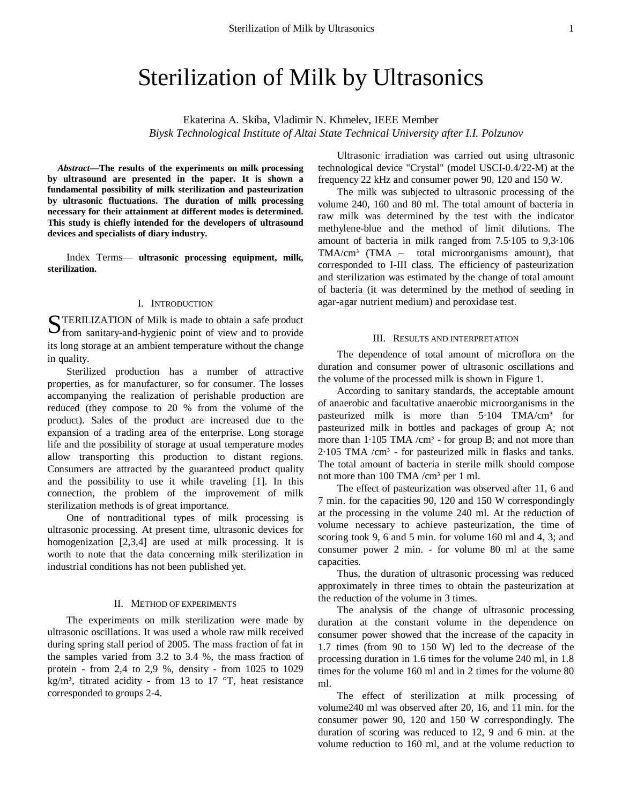# Sterilization of Milk by Ultrasonics

Ekaterina А. Skiba, Vladimir N. Khmelev, IEEE Member *Biysk Technological Institute of Altai State Technical University after I.I. Polzunov*

*Abstract***—The results of the experiments on milk processing by ultrasound are presented in the paper. It is shown a fundamental possibility of milk sterilization and pasteurization by ultrasonic fluctuations. The duration of milk processing necessary for their attainment at different modes is determined. This study is chiefly intended for the developers of ultrasound devices and specialists of diary industry.** 

Index Terms— **ultrasonic processing equipment, milk, sterilization.** 

## I. INTRODUCTION

TERILIZATION of Milk is made to obtain a safe product **S**TERILIZATION of Milk is made to obtain a safe product from sanitary-and-hygienic point of view and to provide its long storage at an ambient temperature without the change in quality.

Sterilized production has a number of attractive properties, as for manufacturer, so for consumer. The losses accompanying the realization of perishable production are reduced (they compose to 20 % from the volume of the product). Sales of the product are increased due to the expansion of a trading area of the enterprise. Long storage life and the possibility of storage at usual temperature modes allow transporting this production to distant regions. Consumers are attracted by the guaranteed product quality and the possibility to use it while traveling [1]. In this connection, the problem of the improvement of milk sterilization methods is of great importance.

One of nontraditional types of milk processing is ultrasonic processing. At present time, ultrasonic devices for homogenization [2,3,4] are used at milk processing. It is worth to note that the data concerning milk sterilization in industrial conditions has not been published yet.

## II. METHOD OF EXPERIMENTS

The experiments on milk sterilization were made by ultrasonic oscillations. It was used a whole raw milk received during spring stall period of 2005. The mass fraction of fat in the samples varied from 3.2 to 3.4 %, the mass fraction of protein - from 2,4 to 2,9 %, density - from 1025 to 1029 kg/m<sup>3</sup>, titrated acidity - from 13 to 17 °T, heat resistance corresponded to groups 2-4.

Ultrasonic irradiation was carried out using ultrasonic technological device "Crystal" (model USCI-0.4/22-М) at the frequency 22 kHz and consumer power 90, 120 and 150 W.

The milk was subjected to ultrasonic processing of the volume 240, 160 and 80 ml. The total amount of bacteria in raw milk was determined by the test with the indicator methylene-blue and the method of limit dilutions. The amount of bacteria in milk ranged from 7.5·105 to 9,3·106  $TMA/cm<sup>3</sup>$  (TMA – total microorganisms amount), that corresponded to I-III class. The efficiency of pasteurization and sterilization was estimated by the change of total amount of bacteria (it was determined by the method of seeding in agar-agar nutrient medium) and peroxidase test.

### III. RESULTS AND INTERPRETATION

The dependence of total amount of microflora on the duration and consumer power of ultrasonic oscillations and the volume of the processed milk is shown in Figure 1.

According to sanitary standards, the acceptable amount of anaerobic and facultative anaerobic microorganisms in the pasteurized milk is more than  $5.104$  TMA/cm<sup>3</sup> for pasteurized milk in bottles and packages of group A; not more than  $1.105$  TMA /cm<sup>3</sup> - for group B; and not more than  $2.105$  TMA / $cm<sup>3</sup>$  - for pasteurized milk in flasks and tanks. The total amount of bacteria in sterile milk should compose not more than 100 TMA /cm<sup>3</sup> per 1 ml.

The effect of pasteurization was observed after 11, 6 and 7 min. for the capacities 90, 120 and 150 W correspondingly at the processing in the volume 240 ml. At the reduction of volume necessary to achieve pasteurization, the time of scoring took 9, 6 and 5 min. for volume 160 ml and 4, 3; and consumer power 2 min. - for volume 80 ml at the same capacities.

Thus, the duration of ultrasonic processing was reduced approximately in three times to obtain the pasteurization at the reduction of the volume in 3 times.

The analysis of the change of ultrasonic processing duration at the constant volume in the dependence on consumer power showed that the increase of the capacity in 1.7 times (from 90 to 150 W) led to the decrease of the processing duration in 1.6 times for the volume 240 ml, in 1.8 times for the volume 160 ml and in 2 times for the volume 80 ml.

The effect of sterilization at milk processing of volume240 ml was observed after 20, 16, and 11 min. for the consumer power 90, 120 and 150 W correspondingly. The duration of scoring was reduced to 12, 9 and 6 min. at the volume reduction to 160 ml, and at the volume reduction to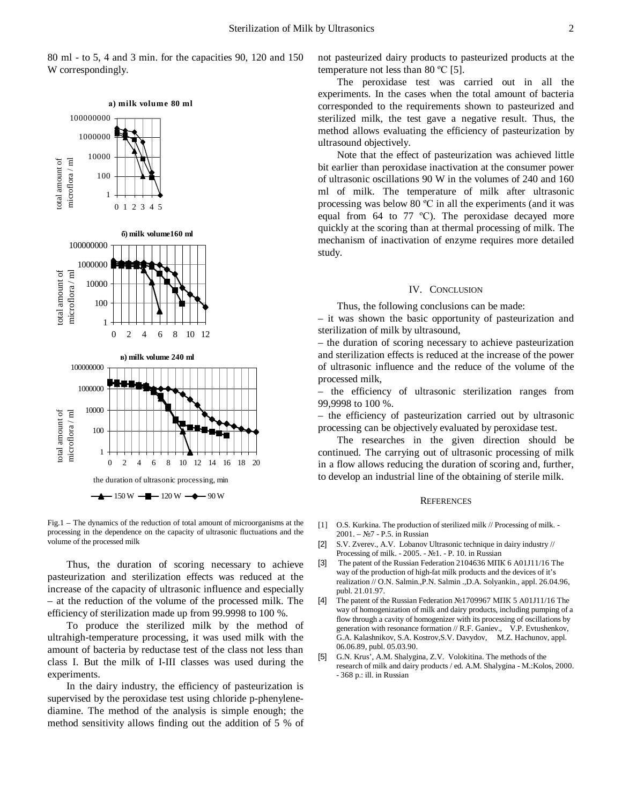80 ml - to 5, 4 and 3 min. for the capacities 90, 120 and 150 W correspondingly.



Fig.1 – The dynamics of the reduction of total amount of microorganisms at the processing in the dependence on the capacity of ultrasonic fluctuations and the volume of the processed milk

Thus, the duration of scoring necessary to achieve pasteurization and sterilization effects was reduced at the increase of the capacity of ultrasonic influence and especially – at the reduction of the volume of the processed milk. The efficiency of sterilization made up from 99.9998 to 100 %.

To produce the sterilized milk by the method of ultrahigh-temperature processing, it was used milk with the amount of bacteria by reductase test of the class not less than class I. But the milk of I-III classes was used during the experiments.

In the dairy industry, the efficiency of pasteurization is supervised by the peroxidase test using chloride p-phenylenediamine. The method of the analysis is simple enough; the method sensitivity allows finding out the addition of 5 % of not pasteurized dairy products to pasteurized products at the temperature not less than 80 ºС [5].

The peroxidase test was carried out in all the experiments. In the cases when the total amount of bacteria corresponded to the requirements shown to pasteurized and sterilized milk, the test gave a negative result. Thus, the method allows evaluating the efficiency of pasteurization by ultrasound objectively.

Note that the effect of pasteurization was achieved little bit earlier than peroxidase inactivation at the consumer power of ultrasonic oscillations 90 W in the volumes of 240 and 160 ml of milk. The temperature of milk after ultrasonic processing was below 80 ºС in all the experiments (and it was equal from 64 to 77 ºС). The peroxidase decayed more quickly at the scoring than at thermal processing of milk. The mechanism of inactivation of enzyme requires more detailed study.

#### IV. CONCLUSION

Thus, the following conclusions can be made:

– it was shown the basic opportunity of pasteurization and sterilization of milk by ultrasound,

– the duration of scoring necessary to achieve pasteurization and sterilization effects is reduced at the increase of the power of ultrasonic influence and the reduce of the volume of the processed milk,

– the efficiency of ultrasonic sterilization ranges from 99,9998 to 100 %.

– the efficiency of pasteurization carried out by ultrasonic processing can be objectively evaluated by peroxidase test.

The researches in the given direction should be continued. The carrying out of ultrasonic processing of milk in a flow allows reducing the duration of scoring and, further, to develop an industrial line of the obtaining of sterile milk.

## **REFERENCES**

- [1] O.S. Kurkina. The production of sterilized milk // Processing of milk. 2001. – №7 - P.5. in Russian
- [2] S.V. Zverev., A.V. Lobanov Ultrasonic technique in dairy industry // Processing of milk. - 2005. - №1. - P. 10. in Russian
- [3] The patent of the Russian Federation 2104636 МПК 6 А01J11/16 The way of the production of high-fat milk products and the devices of it's realization // O.N. Salmin.,P.N. Salmin .,D.A. Solyankin., appl. 26.04.96, publ. 21.01.97.
- [4] The patent of the Russian Federation №1709967 МПК 5 А01J11/16 The way of homogenization of milk and dairy products, including pumping of a flow through a cavity of homogenizer with its processing of oscillations by generation with resonance formation // R.F. Ganiev., V.P. Evtushenkov, G.A. Kalashnikov, S.A. Kostrov,S.V. Davydov, M.Z. Hachunov, appl. 06.06.89, publ. 05.03.90.
- [5] G.N. Krus', A.M. Shalygina, Z.V. Volokitina. The methods of the research of milk and dairy products / ed. A.M. Shalygina - М.:Kolos, 2000. - 368 p.: ill. in Russian